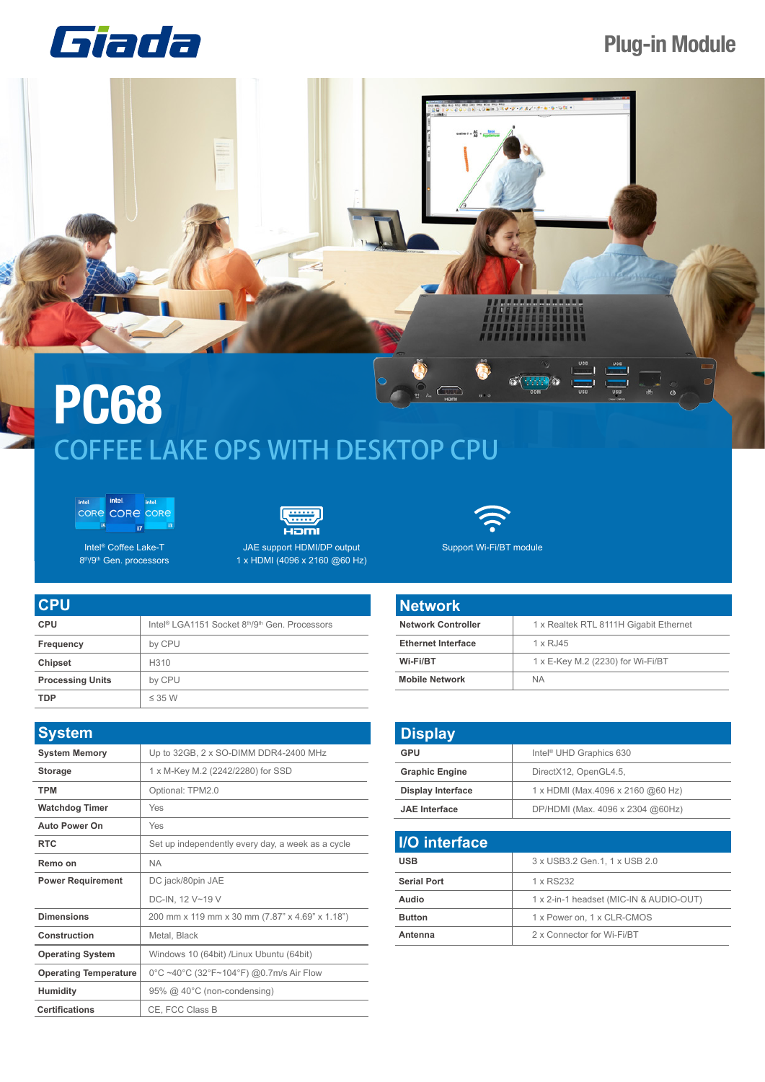## Giada

## **Plug-in Module**



## **PC68** COFFEE LAKE OPS WITH DESKTOP CPU





**Example** Haml

JAE support HDMI/DP output 1 x HDMI (4096 x 2160 @60 Hz)



Support Wi-Fi/BT module

Intel® Coffee Lake-T 8<sup>th</sup>/9<sup>th</sup> Gen. processors

| <b>CPU</b>              |                                                                                    |
|-------------------------|------------------------------------------------------------------------------------|
| <b>CPU</b>              | Intel <sup>®</sup> LGA1151 Socket 8 <sup>th</sup> /9 <sup>th</sup> Gen. Processors |
| Frequency               | by CPU                                                                             |
| <b>Chipset</b>          | H310                                                                               |
| <b>Processing Units</b> | by CPU                                                                             |
| <b>TDP</b>              | $\leq$ 35 W                                                                        |

| <b>System</b>                |                                                   |
|------------------------------|---------------------------------------------------|
| <b>System Memory</b>         | Up to 32GB, 2 x SO-DIMM DDR4-2400 MHz             |
| <b>Storage</b>               | 1 x M-Key M.2 (2242/2280) for SSD                 |
| <b>TPM</b>                   | Optional: TPM2.0                                  |
| <b>Watchdog Timer</b>        | Yes                                               |
| <b>Auto Power On</b>         | Yes                                               |
| <b>RTC</b>                   | Set up independently every day, a week as a cycle |
| Remo on                      | <b>NA</b>                                         |
| <b>Power Requirement</b>     | DC jack/80pin JAE                                 |
|                              | DC-IN, 12 V~19 V                                  |
| <b>Dimensions</b>            | 200 mm x 119 mm x 30 mm (7.87" x 4.69" x 1.18")   |
| Construction                 | Metal, Black                                      |
| <b>Operating System</b>      | Windows 10 (64bit) /Linux Ubuntu (64bit)          |
| <b>Operating Temperature</b> | 0°C ~40°C (32°F~104°F) @0.7m/s Air Flow           |
| <b>Humidity</b>              | 95% @ 40°C (non-condensing)                       |
| <b>Certifications</b>        | CE, FCC Class B                                   |

| <b>Network</b>            |                                        |
|---------------------------|----------------------------------------|
| <b>Network Controller</b> | 1 x Realtek RTL 8111H Gigabit Ethernet |
| <b>Ethernet Interface</b> | $1 \times R$ , 145                     |
| Wi-Fi/BT                  | 1 x E-Key M.2 (2230) for Wi-Fi/BT      |
| <b>Mobile Network</b>     | <b>NA</b>                              |

| <b>Display</b>           |                                     |
|--------------------------|-------------------------------------|
| GPU                      | Intel <sup>®</sup> UHD Graphics 630 |
| <b>Graphic Engine</b>    | DirectX12, OpenGL4.5,               |
| <b>Display Interface</b> | 1 x HDMI (Max.4096 x 2160 @60 Hz)   |
| <b>JAE</b> Interface     | DP/HDMI (Max. 4096 x 2304 @60Hz)    |

| I/O interface      |                                         |
|--------------------|-----------------------------------------|
| <b>USB</b>         | 3 x USB3.2 Gen.1, 1 x USB 2.0           |
| <b>Serial Port</b> | 1 x RS232                               |
| Audio              | 1 x 2-in-1 headset (MIC-IN & AUDIO-OUT) |
| <b>Button</b>      | 1 x Power on, 1 x CLR-CMOS              |
| Antenna            | 2 x Connector for Wi-Fi/BT              |